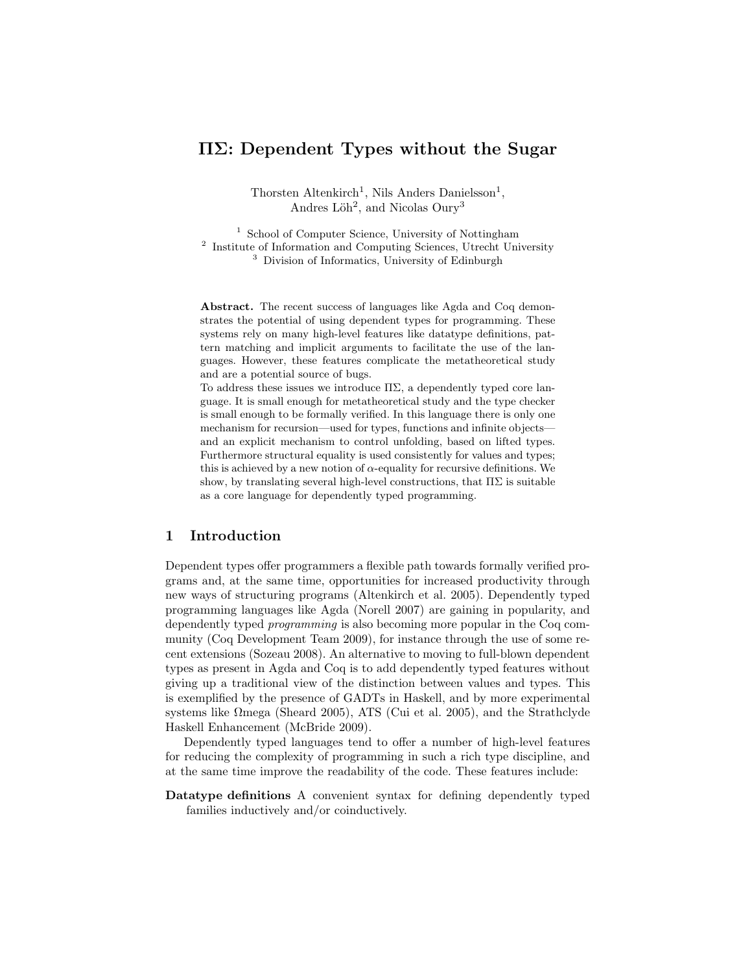# ΠΣ: Dependent Types without the Sugar

Thorsten Altenkirch<sup>1</sup>, Nils Anders Danielsson<sup>1</sup>, Andres Löh<sup>2</sup>, and Nicolas  $\text{Oury}^3$ 

<sup>1</sup> School of Computer Science, University of Nottingham <sup>2</sup> Institute of Information and Computing Sciences, Utrecht University <sup>3</sup> Division of Informatics, University of Edinburgh

Abstract. The recent success of languages like Agda and Coq demonstrates the potential of using dependent types for programming. These systems rely on many high-level features like datatype definitions, pattern matching and implicit arguments to facilitate the use of the languages. However, these features complicate the metatheoretical study and are a potential source of bugs.

To address these issues we introduce  $\Pi\Sigma$ , a dependently typed core language. It is small enough for metatheoretical study and the type checker is small enough to be formally verified. In this language there is only one mechanism for recursion—used for types, functions and infinite objects and an explicit mechanism to control unfolding, based on lifted types. Furthermore structural equality is used consistently for values and types; this is achieved by a new notion of  $\alpha$ -equality for recursive definitions. We show, by translating several high-level constructions, that  $\Pi\Sigma$  is suitable as a core language for dependently typed programming.

# 1 Introduction

Dependent types offer programmers a flexible path towards formally verified programs and, at the same time, opportunities for increased productivity through new ways of structuring programs (Altenkirch et al. 2005). Dependently typed programming languages like Agda (Norell 2007) are gaining in popularity, and dependently typed programming is also becoming more popular in the Coq community (Coq Development Team 2009), for instance through the use of some recent extensions (Sozeau 2008). An alternative to moving to full-blown dependent types as present in Agda and Coq is to add dependently typed features without giving up a traditional view of the distinction between values and types. This is exemplified by the presence of GADTs in Haskell, and by more experimental systems like Ωmega (Sheard 2005), ATS (Cui et al. 2005), and the Strathclyde Haskell Enhancement (McBride 2009).

Dependently typed languages tend to offer a number of high-level features for reducing the complexity of programming in such a rich type discipline, and at the same time improve the readability of the code. These features include:

Datatype definitions A convenient syntax for defining dependently typed families inductively and/or coinductively.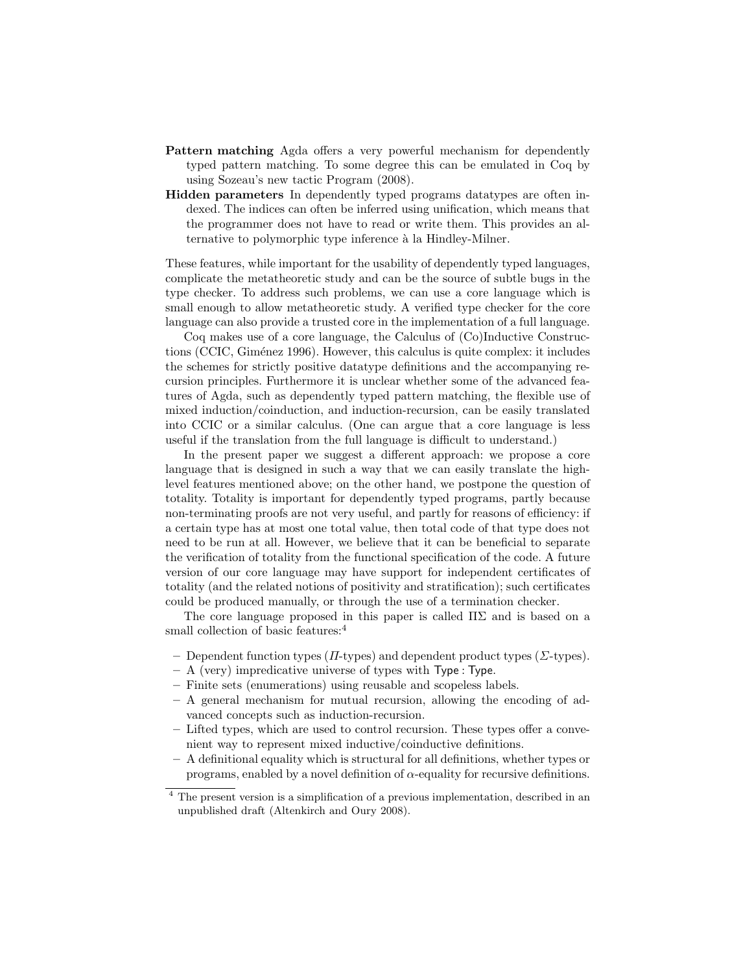- Pattern matching Agda offers a very powerful mechanism for dependently typed pattern matching. To some degree this can be emulated in Coq by using Sozeau's new tactic Program (2008).
- Hidden parameters In dependently typed programs datatypes are often indexed. The indices can often be inferred using unification, which means that the programmer does not have to read or write them. This provides an alternative to polymorphic type inference à la Hindley-Milner.

These features, while important for the usability of dependently typed languages, complicate the metatheoretic study and can be the source of subtle bugs in the type checker. To address such problems, we can use a core language which is small enough to allow metatheoretic study. A verified type checker for the core language can also provide a trusted core in the implementation of a full language.

Coq makes use of a core language, the Calculus of (Co)Inductive Constructions (CCIC, Giménez 1996). However, this calculus is quite complex: it includes the schemes for strictly positive datatype definitions and the accompanying recursion principles. Furthermore it is unclear whether some of the advanced features of Agda, such as dependently typed pattern matching, the flexible use of mixed induction/coinduction, and induction-recursion, can be easily translated into CCIC or a similar calculus. (One can argue that a core language is less useful if the translation from the full language is difficult to understand.)

In the present paper we suggest a different approach: we propose a core language that is designed in such a way that we can easily translate the highlevel features mentioned above; on the other hand, we postpone the question of totality. Totality is important for dependently typed programs, partly because non-terminating proofs are not very useful, and partly for reasons of efficiency: if a certain type has at most one total value, then total code of that type does not need to be run at all. However, we believe that it can be beneficial to separate the verification of totality from the functional specification of the code. A future version of our core language may have support for independent certificates of totality (and the related notions of positivity and stratification); such certificates could be produced manually, or through the use of a termination checker.

The core language proposed in this paper is called  $\Pi\Sigma$  and is based on a small collection of basic features:<sup>4</sup>

- Dependent function types ( $\Pi$ -types) and dependent product types ( $\Sigma$ -types).
- A (very) impredicative universe of types with Type : Type.
- Finite sets (enumerations) using reusable and scopeless labels.
- A general mechanism for mutual recursion, allowing the encoding of advanced concepts such as induction-recursion.
- Lifted types, which are used to control recursion. These types offer a convenient way to represent mixed inductive/coinductive definitions.
- A definitional equality which is structural for all definitions, whether types or programs, enabled by a novel definition of  $\alpha$ -equality for recursive definitions.

<sup>4</sup> The present version is a simplification of a previous implementation, described in an unpublished draft (Altenkirch and Oury 2008).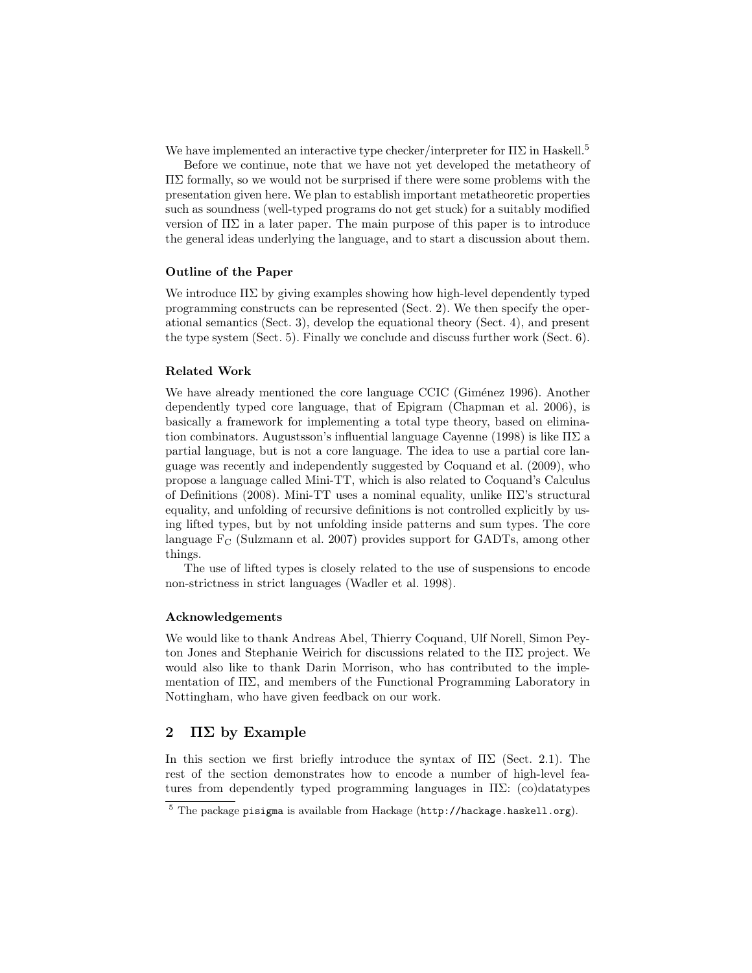We have implemented an interactive type checker/interpreter for  $\Pi\Sigma$  in Haskell.<sup>5</sup>

Before we continue, note that we have not yet developed the metatheory of ΠΣ formally, so we would not be surprised if there were some problems with the presentation given here. We plan to establish important metatheoretic properties such as soundness (well-typed programs do not get stuck) for a suitably modified version of  $\Pi\Sigma$  in a later paper. The main purpose of this paper is to introduce the general ideas underlying the language, and to start a discussion about them.

### Outline of the Paper

We introduce  $\Pi\Sigma$  by giving examples showing how high-level dependently typed programming constructs can be represented (Sect. 2). We then specify the operational semantics (Sect. 3), develop the equational theory (Sect. 4), and present the type system (Sect. 5). Finally we conclude and discuss further work (Sect. 6).

### Related Work

We have already mentioned the core language CCIC (Giménez 1996). Another dependently typed core language, that of Epigram (Chapman et al. 2006), is basically a framework for implementing a total type theory, based on elimination combinators. Augustsson's influential language Cayenne (1998) is like  $\Pi\Sigma$  a partial language, but is not a core language. The idea to use a partial core language was recently and independently suggested by Coquand et al. (2009), who propose a language called Mini-TT, which is also related to Coquand's Calculus of Definitions (2008). Mini-TT uses a nominal equality, unlike  $\Pi\Sigma$ 's structural equality, and unfolding of recursive definitions is not controlled explicitly by using lifted types, but by not unfolding inside patterns and sum types. The core language  $F_C$  (Sulzmann et al. 2007) provides support for GADTs, among other things.

The use of lifted types is closely related to the use of suspensions to encode non-strictness in strict languages (Wadler et al. 1998).

### Acknowledgements

We would like to thank Andreas Abel, Thierry Coquand, Ulf Norell, Simon Peyton Jones and Stephanie Weirich for discussions related to the ΠΣ project. We would also like to thank Darin Morrison, who has contributed to the implementation of ΠΣ, and members of the Functional Programming Laboratory in Nottingham, who have given feedback on our work.

# 2  $\Pi\Sigma$  by Example

In this section we first briefly introduce the syntax of  $\Pi\Sigma$  (Sect. 2.1). The rest of the section demonstrates how to encode a number of high-level features from dependently typed programming languages in  $\Pi\Sigma$ : (co)datatypes

<sup>5</sup> The package pisigma is available from Hackage (http://hackage.haskell.org).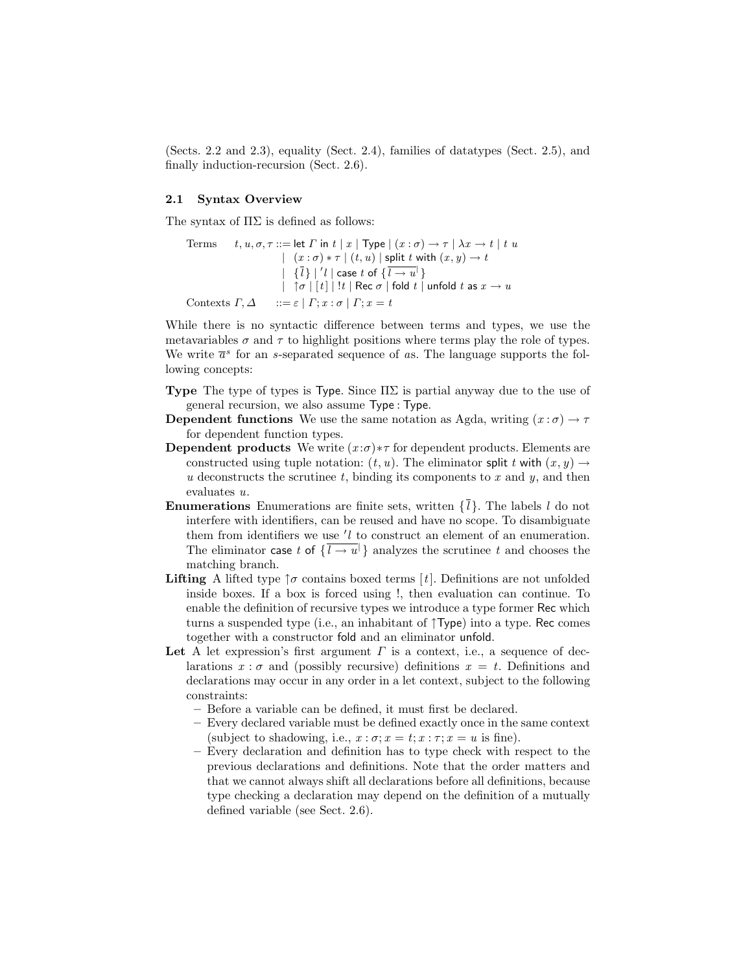(Sects. 2.2 and 2.3), equality (Sect. 2.4), families of datatypes (Sect. 2.5), and finally induction-recursion (Sect. 2.6).

#### 2.1 Syntax Overview

The syntax of  $\Pi\Sigma$  is defined as follows:

```
Terms t, u, \sigma, \tau ::= \text{let } \Gamma \text{ in } t \mid x \mid \text{Type} \mid (x : \sigma) \rightarrow \tau \mid \lambda x \rightarrow t \mid t \ u\left| \right| (x : \sigma) * \tau \left| (t, u) \right| split t with (x, y) \rightarrow t|\ \{\,\overline{l}\,\}\,| 'l\,|\, case t of \{\,\overline{l\rightarrow u^{\vert}}\,\}|\uparrow \sigma | [t] |!t | \text{Rec } \sigma | \text{fold } t | \text{unfold } t \text{ as } x \to uContexts \Gamma, \Delta ::= \varepsilon | \Gamma; x : \sigma | \Gamma; x = t
```
While there is no syntactic difference between terms and types, we use the metavariables  $\sigma$  and  $\tau$  to highlight positions where terms play the role of types. We write  $\bar{a}^s$  for an s-separated sequence of as. The language supports the following concepts:

- Type The type of types is Type. Since  $\Pi\Sigma$  is partial anyway due to the use of general recursion, we also assume Type : Type.
- **Dependent functions** We use the same notation as Agda, writing  $(x : \sigma) \rightarrow \tau$ for dependent function types.
- **Dependent products** We write  $(x:\sigma)*\tau$  for dependent products. Elements are constructed using tuple notation:  $(t, u)$ . The eliminator split t with  $(x, y) \rightarrow$  $u$  deconstructs the scrutinee  $t$ , binding its components to  $x$  and  $y$ , and then evaluates u.
- **Enumerations** Enumerations are finite sets, written  $\{\bar{l}\}\$ . The labels l do not interfere with identifiers, can be reused and have no scope. To disambiguate them from identifiers we use  $'l$  to construct an element of an enumeration. The eliminator case t of  $\{\overline{l} \rightarrow u^{\parallel}\}$  analyzes the scrutinee t and chooses the matching branch.
- **Lifting** A lifted type  $\uparrow \sigma$  contains boxed terms [t]. Definitions are not unfolded inside boxes. If a box is forced using !, then evaluation can continue. To enable the definition of recursive types we introduce a type former Rec which turns a suspended type (i.e., an inhabitant of ↑Type) into a type. Rec comes together with a constructor fold and an eliminator unfold.
- Let A let expression's first argument  $\Gamma$  is a context, i.e., a sequence of declarations  $x : \sigma$  and (possibly recursive) definitions  $x = t$ . Definitions and declarations may occur in any order in a let context, subject to the following constraints:
	- Before a variable can be defined, it must first be declared.
	- Every declared variable must be defined exactly once in the same context (subject to shadowing, i.e.,  $x : \sigma; x = t; x : \tau; x = u$  is fine).
	- Every declaration and definition has to type check with respect to the previous declarations and definitions. Note that the order matters and that we cannot always shift all declarations before all definitions, because type checking a declaration may depend on the definition of a mutually defined variable (see Sect. 2.6).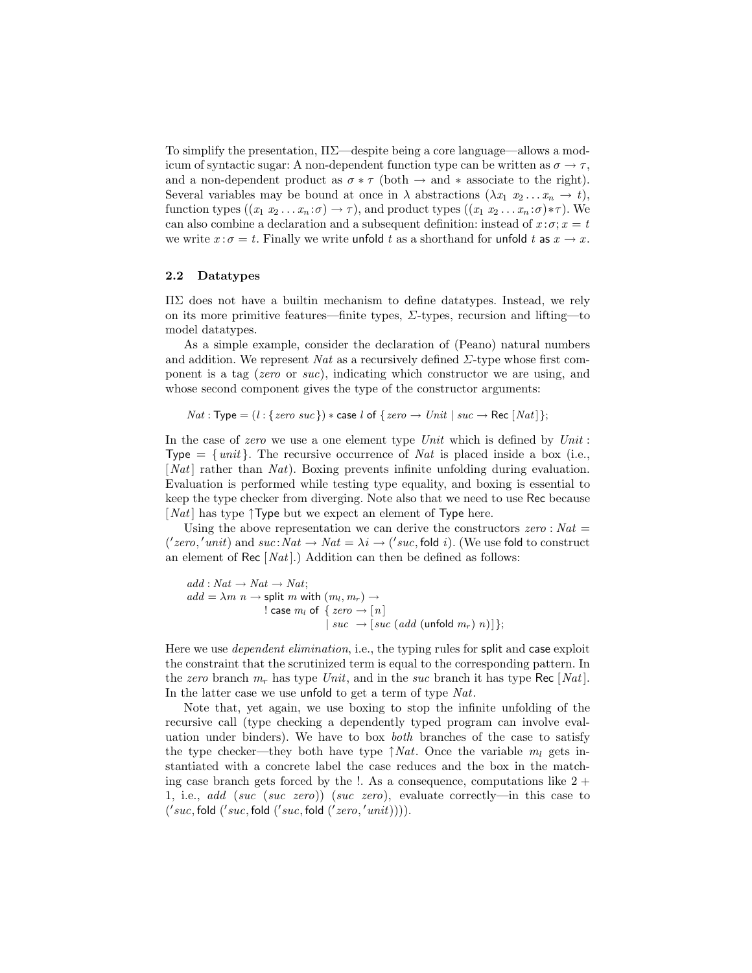To simplify the presentation,  $\Pi\Sigma$ —despite being a core language—allows a modicum of syntactic sugar: A non-dependent function type can be written as  $\sigma \to \tau$ , and a non-dependent product as  $\sigma * \tau$  (both  $\rightarrow$  and  $*$  associate to the right). Several variables may be bound at once in  $\lambda$  abstractions  $(\lambda x_1 x_2 ... x_n \to t)$ , function types  $((x_1 x_2 \ldots x_n : \sigma) \to \tau)$ , and product types  $((x_1 x_2 \ldots x_n : \sigma) * \tau)$ . We can also combine a declaration and a subsequent definition: instead of  $x : \sigma$ ;  $x = t$ we write  $x : \sigma = t$ . Finally we write unfold t as a shorthand for unfold t as  $x \to x$ .

### 2.2 Datatypes

ΠΣ does not have a builtin mechanism to define datatypes. Instead, we rely on its more primitive features—finite types,  $\Sigma$ -types, recursion and lifting—to model datatypes.

As a simple example, consider the declaration of (Peano) natural numbers and addition. We represent Nat as a recursively defined  $\Sigma$ -type whose first component is a tag (zero or suc), indicating which constructor we are using, and whose second component gives the type of the constructor arguments:

 $Nat: Type = (l: \{ zero \; suc\}) * case \; l \; of \; \{ zero \; \rightarrow \; Unit \; | \; suc \rightarrow Rec \; [Nat]\};$ 

In the case of zero we use a one element type  $Unit$  which is defined by  $Unit$ : Type  $= \{unit\}$ . The recursive occurrence of *Nat* is placed inside a box (i.e.,  $[Nat]$  rather than  $Nat$ ). Boxing prevents infinite unfolding during evaluation. Evaluation is performed while testing type equality, and boxing is essential to keep the type checker from diverging. Note also that we need to use Rec because  $[Nat]$  has type  $\uparrow$ Type but we expect an element of Type here.

Using the above representation we can derive the constructors  $zero: Nat =$  $('zero,'unit)$  and  $suc: Nat \rightarrow Nat = \lambda i \rightarrow ('suc, \text{fold } i)$ . (We use fold to construct an element of Rec  $[Nat]$ .) Addition can then be defined as follows:

 $add: Nat \rightarrow Nat \rightarrow Nat;$  $add = \lambda m$   $n \rightarrow$  split m with  $(m_l, m_r) \rightarrow$ ! case  $m_l$  of  $\{zero \rightarrow [n]$  $| succ \rightarrow [suc (add (unfold m_r) n)]$ ;

Here we use *dependent elimination*, i.e., the typing rules for split and case exploit the constraint that the scrutinized term is equal to the corresponding pattern. In the zero branch  $m_r$  has type Unit, and in the suc branch it has type Rec [Nat]. In the latter case we use unfold to get a term of type Nat.

Note that, yet again, we use boxing to stop the infinite unfolding of the recursive call (type checking a dependently typed program can involve evaluation under binders). We have to box both branches of the case to satisfy the type checker—they both have type  $\uparrow Nat$ . Once the variable  $m_l$  gets instantiated with a concrete label the case reduces and the box in the matching case branch gets forced by the  $\ell$ . As a consequence, computations like  $2 + \ell$ 1, i.e., add (suc (suc zero)) (suc zero), evaluate correctly—in this case to  $('suc, fold ('suc, fold ('suc, fold ('zero,'unit)))).$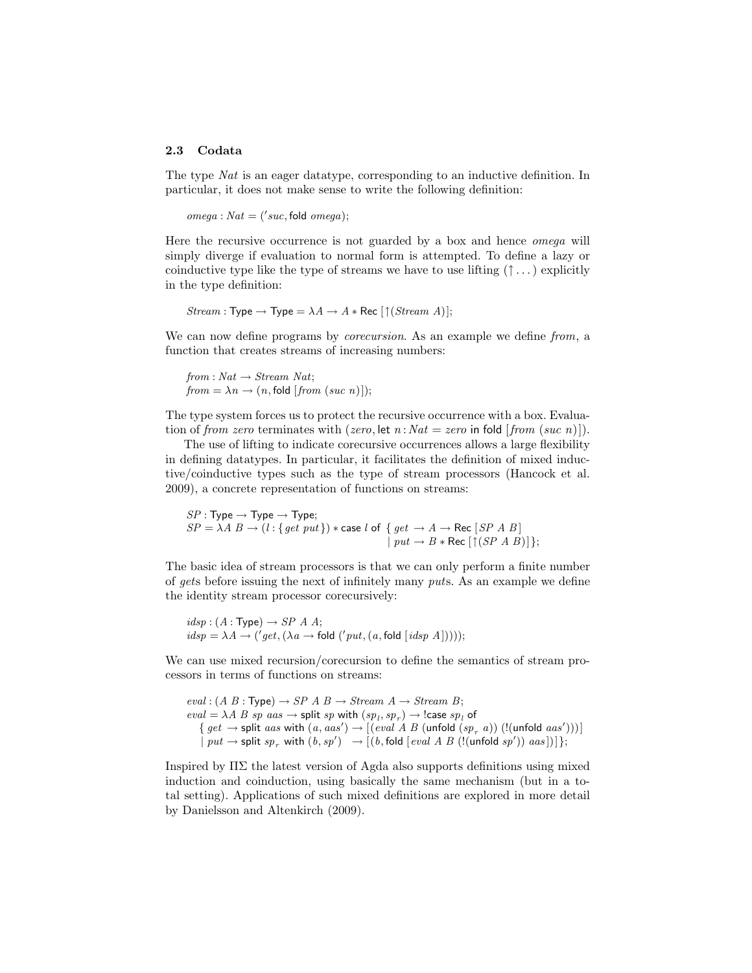#### 2.3 Codata

The type Nat is an eager datatype, corresponding to an inductive definition. In particular, it does not make sense to write the following definition:

 $omega: Nat = ('suc, fold \omega)$ ;

Here the recursive occurrence is not guarded by a box and hence *omega* will simply diverge if evaluation to normal form is attempted. To define a lazy or coinductive type like the type of streams we have to use lifting  $(\uparrow \dots)$  explicitly in the type definition:

 $Stream : Type \rightarrow Type = \lambda A \rightarrow A * Rec [\uparrow (Stream A)];$ 

We can now define programs by *corecursion*. As an example we define *from*, a function that creates streams of increasing numbers:

 $from: Nat \rightarrow Stream Nat;$  $from = \lambda n \rightarrow (n, \text{fold} \ [from \ (suc \ n)]);$ 

The type system forces us to protect the recursive occurrence with a box. Evaluation of from zero terminates with (zero, let  $n : Nat = zero$  in fold [from (suc n)]).

The use of lifting to indicate corecursive occurrences allows a large flexibility in defining datatypes. In particular, it facilitates the definition of mixed inductive/coinductive types such as the type of stream processors (Hancock et al. 2009), a concrete representation of functions on streams:

 $SP:$  Type  $\rightarrow$  Type  $\rightarrow$  Type;  $SP = \lambda A \ B \rightarrow (l : \{ get \ put\}) * \text{case } l \text{ of } \{ get \ \rightarrow A \rightarrow \text{Rec } [SP \ A \ B]$  $| put \rightarrow B * Rec [\uparrow (SP \land B)]$ ;

The basic idea of stream processors is that we can only perform a finite number of gets before issuing the next of infinitely many puts. As an example we define the identity stream processor corecursively:

 $idsp:(A:Type)\rightarrow SP~A~A;$  $idsp = \lambda A \rightarrow ('get, (\lambda a \rightarrow fold ('put, (a, fold [idsp A)])));$ 

We can use mixed recursion/corecursion to define the semantics of stream processors in terms of functions on streams:

 $eval: (A \ B: \mathsf{Type}) \rightarrow SP \ A \ B \rightarrow Stream \ A \rightarrow Stream \ B;$  $\mathit{eval} = \lambda A \; B \; \mathit{sp} \; \mathit{aas} \to \mathsf{split} \; \mathit{sp} \; \mathit{with} \; (\mathit{sp}_l, \mathit{sp}_r) \to \mathsf{lcase} \; \mathit{sp}_l \; \mathsf{of}$  $\{ \; get \rightarrow \mathsf{split} \; \mathit{aas} \; \text{with} \; (\mathit{a, aas}') \rightarrow [(\mathit{eval} \; \mathit{A} \; \mathit{B} \; (\mathsf{unfold} \; (\mathit{sp}_r \; \mathit{a})) \; (\mathit{!(unfold} \; \mathit{aas}')))]$  $\mid put \rightarrow \textsf{split} \; sp_r \; \text{with} \; (b, sp') \; \rightarrow \left[ (\textit{b}, \textsf{fold} \; [eval \; A \; B \; (!\textsf{unfold} \; sp')) \; \textit{aas} ] ) \right] \};$ 

Inspired by  $\Pi\Sigma$  the latest version of Agda also supports definitions using mixed induction and coinduction, using basically the same mechanism (but in a total setting). Applications of such mixed definitions are explored in more detail by Danielsson and Altenkirch (2009).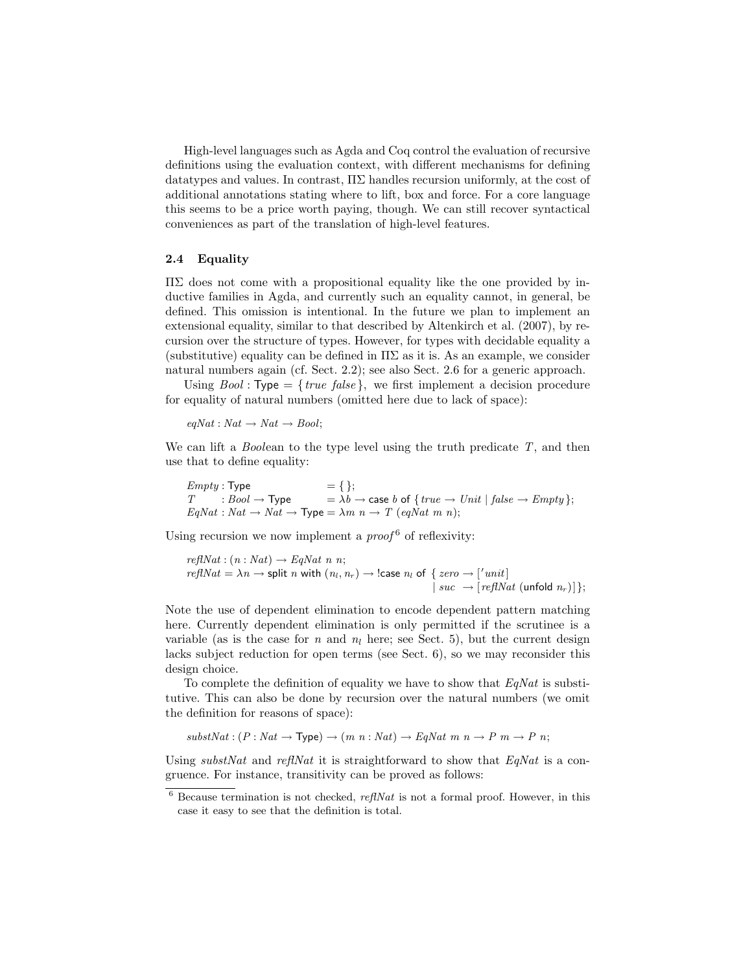High-level languages such as Agda and Coq control the evaluation of recursive definitions using the evaluation context, with different mechanisms for defining datatypes and values. In contrast,  $\Pi\Sigma$  handles recursion uniformly, at the cost of additional annotations stating where to lift, box and force. For a core language this seems to be a price worth paying, though. We can still recover syntactical conveniences as part of the translation of high-level features.

#### 2.4 Equality

ΠΣ does not come with a propositional equality like the one provided by inductive families in Agda, and currently such an equality cannot, in general, be defined. This omission is intentional. In the future we plan to implement an extensional equality, similar to that described by Altenkirch et al. (2007), by recursion over the structure of types. However, for types with decidable equality a (substitutive) equality can be defined in  $\Pi\Sigma$  as it is. As an example, we consider natural numbers again (cf. Sect. 2.2); see also Sect. 2.6 for a generic approach.

Using  $Bool$ : Type = {true false}, we first implement a decision procedure for equality of natural numbers (omitted here due to lack of space):

 $eqNat: Nat \rightarrow Nat \rightarrow Book;$ 

We can lift a *Boolean* to the type level using the truth predicate  $T$ , and then use that to define equality:

 $Empty: Type$   $= \{\};$  $T : Bool \rightarrow Type$   $\qquad = \lambda b \rightarrow \text{case } b \text{ of } \{ \text{ true } \rightarrow \text{Unit } | \text{ false } \rightarrow \text{Empty } \};$  $EqNat : Nat \rightarrow Nat \rightarrow Type = \lambda m n \rightarrow T (eqNat m n);$ 

Using recursion we now implement a  $\text{proof}^6$  of reflexivity:

$$
refINat:(n: Nat) \to EqNat \ n \ n;
$$
  

$$
refINat = \lambda n \to split \ n \ with \ (n_l, n_r) \to !case \ n_l \ of \ \{ zero \to ['unit] \ | \ suc \to [refNat \ (unfold \ n_r)]\};
$$

Note the use of dependent elimination to encode dependent pattern matching here. Currently dependent elimination is only permitted if the scrutinee is a variable (as is the case for n and  $n_l$  here; see Sect. 5), but the current design lacks subject reduction for open terms (see Sect. 6), so we may reconsider this design choice.

To complete the definition of equality we have to show that  $EqNat$  is substitutive. This can also be done by recursion over the natural numbers (we omit the definition for reasons of space):

 $substNat: (P: Nat \rightarrow Type) \rightarrow (m n: Nat) \rightarrow EqNat m n \rightarrow P m \rightarrow P n;$ 

Using *substNat* and reflNat it is straightforward to show that  $EqNat$  is a congruence. For instance, transitivity can be proved as follows:

 $6$  Because termination is not checked, reflNat is not a formal proof. However, in this case it easy to see that the definition is total.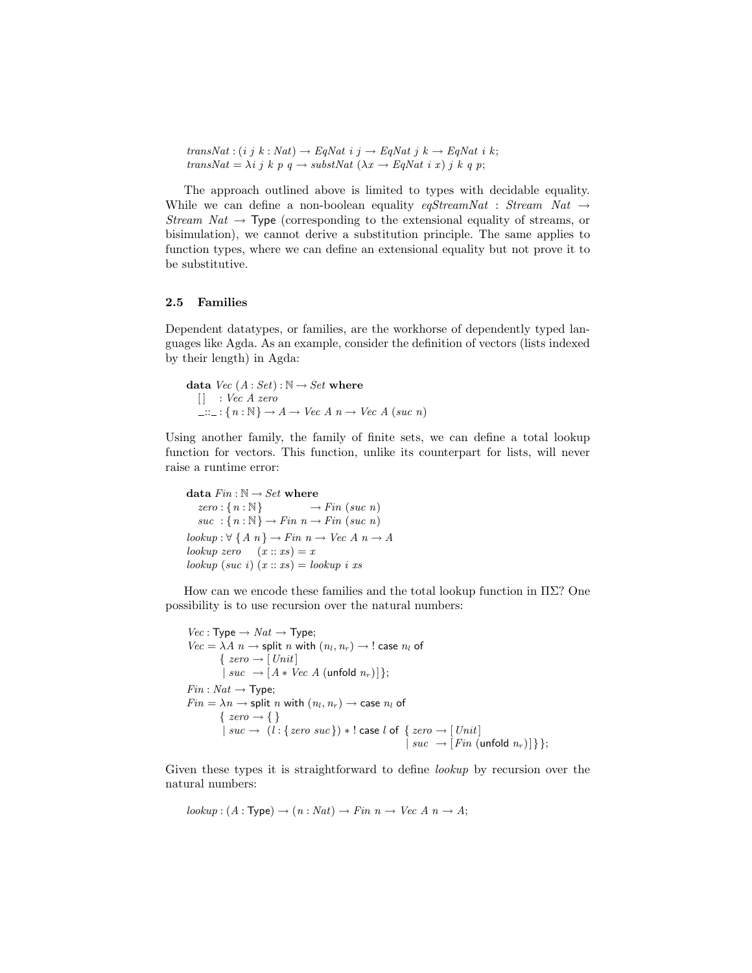$transNat : (i \, j \, k : Nat) \rightarrow EqNat \, i \, j \rightarrow EqNat \, j \, k \rightarrow EqNat \, i \, k;$  $transNat = \lambda i j k p q \rightarrow substNat (\lambda x \rightarrow EqNat i x) j k q p;$ 

The approach outlined above is limited to types with decidable equality. While we can define a non-boolean equality  $eqStreamNat : Stream Nat \rightarrow$ Stream Nat  $\rightarrow$  Type (corresponding to the extensional equality of streams, or bisimulation), we cannot derive a substitution principle. The same applies to function types, where we can define an extensional equality but not prove it to be substitutive.

### 2.5 Families

Dependent datatypes, or families, are the workhorse of dependently typed languages like Agda. As an example, consider the definition of vectors (lists indexed by their length) in Agda:

data  $Vec(A:Set): \mathbb{N} \rightarrow Set$  where  $[ ]$  : Vec A zero  $\exists ::= \{n : \mathbb{N}\} \rightarrow A \rightarrow \text{Vec } A \text{ } n \rightarrow \text{Vec } A \text{ } (\text{succ } n)$ 

Using another family, the family of finite sets, we can define a total lookup function for vectors. This function, unlike its counterpart for lists, will never raise a runtime error:

```
data Fin : \mathbb{N} \rightarrow Set where
   zero: \{ n : \mathbb{N} \} \longrightarrow Fin \ (suc \ n)suc : \{ n : \mathbb{N} \} \to Fin \ n \to Fin \ (suc \ n)lookup: \forall \{A \ n\} \rightarrow Fin \ n \rightarrow Vec \ A \ n \rightarrow Alookup zero (x:: xs) = xlookup (suc i) (x::xs) =lookup i xs
```
How can we encode these families and the total lookup function in  $\Pi\Sigma$ ? One possibility is to use recursion over the natural numbers:

```
Vec: Type \rightarrow Nat \rightarrow Type;Vec = \lambda A \cdot n \rightarrow split n with (n_l, n_r) \rightarrow! case n_l of
            \{ \text{ zero} \rightarrow \lceil \text{Unit} \rceil \}| \textit{suc } \rightarrow [A * \textit{Vec } A \text{ (unfold } n_r)];
Fin : Nat \rightarrow Type;Fin = \lambda n \rightarrow split n with (n_l, n_r) \rightarrow case n_l of
             \{ \text{ zero } \rightarrow \{ \} \}| succ \rightarrow (l : \{zero \; suc\}) * ! \; \textsf{case} \; l \; \textsf{of} \; \{ zero \rightarrow [Unit]| succ \rightarrow [Fin \text{ (unfold } n_r)]\};
```
Given these types it is straightforward to define lookup by recursion over the natural numbers:

```
lookup: (A:Type) \rightarrow (n: Nat) \rightarrow Fin \space n \rightarrow Vec \space A \space n \rightarrow A;
```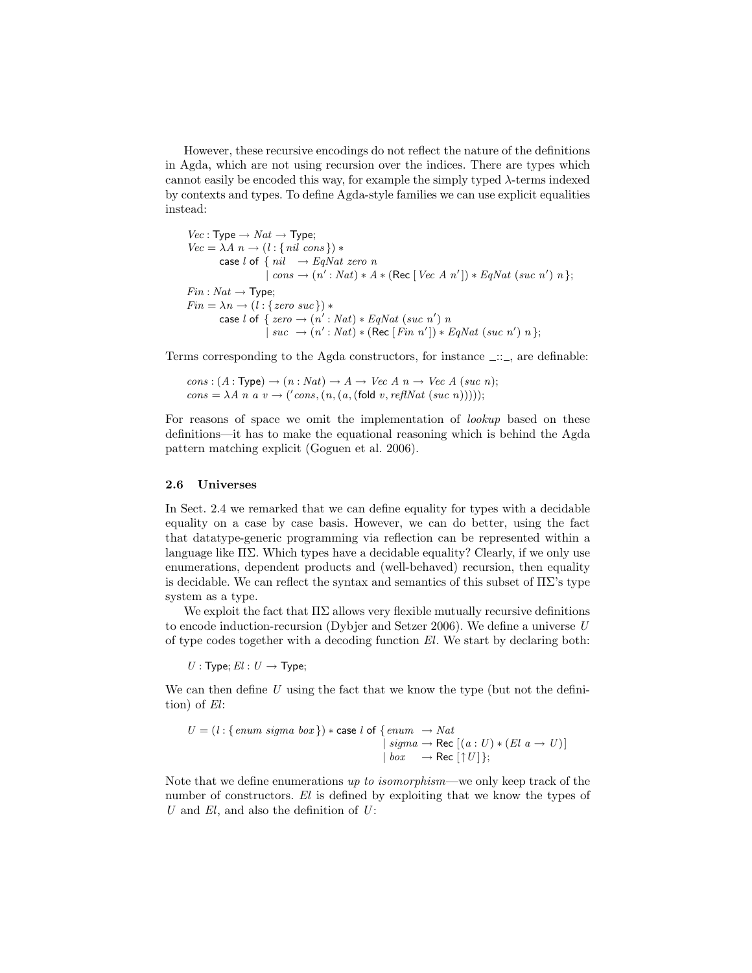However, these recursive encodings do not reflect the nature of the definitions in Agda, which are not using recursion over the indices. There are types which cannot easily be encoded this way, for example the simply typed  $\lambda$ -terms indexed by contexts and types. To define Agda-style families we can use explicit equalities instead:

 $Vec: Type \rightarrow Nat \rightarrow Type;$  $Vec = \lambda A \ n \rightarrow (l : \{ nil \ cons \}) *$ case l of  $\{ nil \rightarrow EqNat \, zero \, n \}$  $\vert \cos \rightarrow (n': Nat) * A * (\text{Rec} [\text{Vec } A \text{ } n'] ) * \text{EqNat} (\text{succ } n') \text{ } n \rbrace;$  $Fin : Nat \rightarrow Type;$  $Fin = \lambda n \rightarrow (l : \{zero \; suc\}) *$ case l of  $\{zero \rightarrow (n': Nat) * EqNat (suc n') n\}$  $| succ \rightarrow (n': Nat) * (Rec [Fin n']) * EqNat (suc n') n;$ 

Terms corresponding to the Agda constructors, for instance  $\Box \colon \Box$ , are definable:

 $cons : (A : Type) \rightarrow (n : Nat) \rightarrow A \rightarrow Vec A n \rightarrow Vec A (suc n);$  $cons = \lambda A \; n \; a \; v \rightarrow ('cons,(n,(a,(fold \; v, \text{reflNat} \; (suc \; n)))));$ 

For reasons of space we omit the implementation of lookup based on these definitions—it has to make the equational reasoning which is behind the Agda pattern matching explicit (Goguen et al. 2006).

### 2.6 Universes

In Sect. 2.4 we remarked that we can define equality for types with a decidable equality on a case by case basis. However, we can do better, using the fact that datatype-generic programming via reflection can be represented within a language like  $\Pi\Sigma$ . Which types have a decidable equality? Clearly, if we only use enumerations, dependent products and (well-behaved) recursion, then equality is decidable. We can reflect the syntax and semantics of this subset of  $\Pi\Sigma$ 's type system as a type.

We exploit the fact that  $\Pi\Sigma$  allows very flexible mutually recursive definitions to encode induction-recursion (Dybjer and Setzer 2006). We define a universe U of type codes together with a decoding function El. We start by declaring both:

 $U: \mathsf{Type}$ ;  $El: U \rightarrow \mathsf{Type}$ ;

We can then define  $U$  using the fact that we know the type (but not the definition) of El:

 $U = (l : \{enum\ sigma\ box\}) * \case \lozenge \of \{enum\ \rightarrow Nat$  $\mid sigma \rightarrow Rec \mid (a:U) * (El \mid a \rightarrow U) \mid$  $\vert \text{ box} \vert \rightarrow \text{Rec} \vert \uparrow U \vert$ ;

Note that we define enumerations up to isomorphism—we only keep track of the number of constructors. El is defined by exploiting that we know the types of U and  $El$ , and also the definition of  $U$ :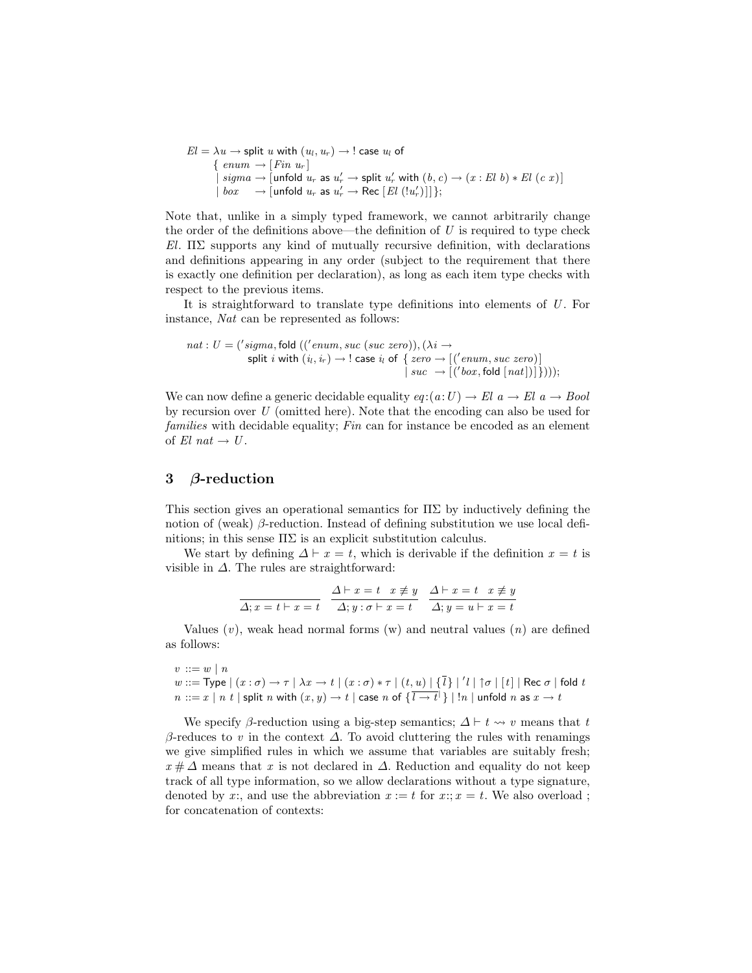$El = \lambda u \rightarrow$  split u with  $(u_l, u_r) \rightarrow$ ! case  $u_l$  of  $\{$  enum  $\rightarrow$  [Fin  $u_r$ ]  $\vert \sigma \rangle$  sigma  $\rightarrow$  [unfold  $u_r$  as  $u'_r \rightarrow$  split  $u'_r$  with  $(b, c) \rightarrow (x : El \ b) * El \ (c \ x)$ ]  $\begin{array}{ll} \mid box & \rightarrow \text{[unfold } u_r \text{ as } u'_r \rightarrow \text{Rec } \text{[El } (!u'_r) ] ] \}; \end{array}$ 

Note that, unlike in a simply typed framework, we cannot arbitrarily change the order of the definitions above—the definition of  $U$  is required to type check El.  $\Pi\Sigma$  supports any kind of mutually recursive definition, with declarations and definitions appearing in any order (subject to the requirement that there is exactly one definition per declaration), as long as each item type checks with respect to the previous items.

It is straightforward to translate type definitions into elements of  $U$ . For instance, Nat can be represented as follows:

$$
nat: U = ('sigma, fold (('enum, suc (suc zero)), (\lambda i \rightarrow \text{split } i \text{ with } (i_l, i_r) \rightarrow ! \text{ case } i_l \text{ of } \{ zero \rightarrow [('enum, suc zero)] \mid suc \rightarrow [('box, fold [nat)] \}))));
$$

We can now define a generic decidable equality  $eq:(a:U) \rightarrow El \ a \rightarrow El \ a \rightarrow Bool$ by recursion over  $U$  (omitted here). Note that the encoding can also be used for families with decidable equality; Fin can for instance be encoded as an element of El nat  $\rightarrow U$ .

# 3 β-reduction

This section gives an operational semantics for  $\Pi\Sigma$  by inductively defining the notion of (weak) β-reduction. Instead of defining substitution we use local definitions; in this sense  $\Pi\Sigma$  is an explicit substitution calculus.

We start by defining  $\Delta \vdash x = t$ , which is derivable if the definition  $x = t$  is visible in  $\Delta$ . The rules are straightforward:

$$
\frac{\Delta \vdash x = t \quad x \not\equiv y}{\Delta; x = t \vdash x = t} \quad \frac{\Delta \vdash x = t \quad x \not\equiv y}{\Delta; y : \sigma \vdash x = t} \quad \frac{\Delta \vdash x = t \quad x \not\equiv y}{\Delta; y = u \vdash x = t}
$$

Values  $(v)$ , weak head normal forms  $(w)$  and neutral values  $(n)$  are defined as follows:

$$
v ::= w | n
$$
  
\n
$$
w ::= \text{Type} | (x : \sigma) \rightarrow \tau | \lambda x \rightarrow t | (x : \sigma) * \tau | (t, u) | \{ \overline{l} \} | 'l | \uparrow \sigma | [t] | \text{Rec } \sigma | \text{ fold } t
$$
  
\n
$$
n ::= x | n t | \text{ split } n \text{ with } (x, y) \rightarrow t | \text{ case } n \text{ of } \{ \overline{l \rightarrow t} \} | !n | \text{unfold } n \text{ as } x \rightarrow t
$$

We specify  $\beta$ -reduction using a big-step semantics;  $\Delta \vdash t \leadsto v$  means that t β-reduces to v in the context  $\Delta$ . To avoid cluttering the rules with renamings we give simplified rules in which we assume that variables are suitably fresh;  $x \# \Delta$  means that x is not declared in  $\Delta$ . Reduction and equality do not keep track of all type information, so we allow declarations without a type signature, denoted by x; and use the abbreviation  $x := t$  for  $x : x = t$ . We also overload; for concatenation of contexts: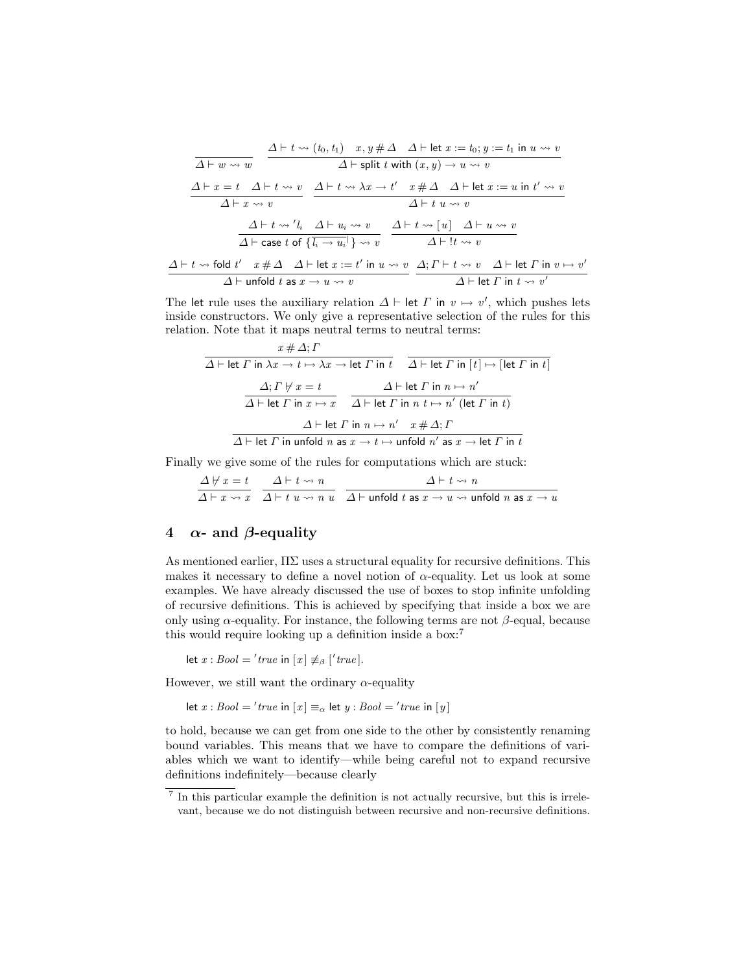$$
\frac{\Delta\vdash t\rightsquigarrow (t_0, t_1)\quad x, y\,\#\,\Delta\quad\Delta\vdash \text{let } x:=t_0; y:=t_1\text{ in } u\rightsquigarrow v}{\Delta\vdash w\rightsquigarrow w}\n\n\frac{\Delta\vdash x=t\quad\Delta\vdash t\rightsquigarrow v}{\Delta\vdash x\rightsquigarrow v}\n\n\frac{\Delta\vdash x=t\quad\Delta\vdash t\rightsquigarrow v}{\Delta\vdash x\rightsquigarrow v}\n\n\frac{\Delta\vdash t\rightsquigarrow 'l_i\quad\Delta\vdash u_i\rightsquigarrow v}{\Delta\vdash t\ u\rightsquigarrow v}\n\n\frac{\Delta\vdash t\rightsquigarrow 'l_i\quad\Delta\vdash u_i\rightsquigarrow v}{\Delta\vdash \text{case } t\text{ of }\{\overline{l_i}\rightarrow u_i^{\dagger}\}\n\rightsquigarrow v}\n\n\frac{\Delta\vdash t\rightsquigarrow 'l_i\quad\Delta\vdash u_i\rightsquigarrow v}{\Delta\vdash !t\rightsquigarrow v}\n\n\frac{\Delta\vdash t\rightsquigarrow \text{fold } t'\quad x\,\#\,\Delta\quad\Delta\vdash \text{let } x:=t'\text{ in } u\rightsquigarrow v}\n\n\Delta\vdash u+\text{model } t\text{ as } x\rightarrow u\rightsquigarrow v}\n\n\frac{\Delta\vdash t\rightarrow v\quad\Delta\vdash \text{let } \Gamma\text{ in } v\mapsto v}{\Delta\vdash \text{let } \Gamma\text{ in } t\rightsquigarrow v'}
$$

 $\prime$ 

The let rule uses the auxiliary relation  $\Delta \vdash$  let  $\Gamma$  in  $v \mapsto v'$ , which pushes lets inside constructors. We only give a representative selection of the rules for this relation. Note that it maps neutral terms to neutral terms:

$$
x \# \Delta; \Gamma
$$
\n
$$
\Delta \vdash \text{let } \Gamma \text{ in } \lambda x \to t \mapsto \lambda x \to \text{let } \Gamma \text{ in } t \qquad \Delta \vdash \text{let } \Gamma \text{ in } [t] \mapsto [\text{let } \Gamma \text{ in } t]
$$
\n
$$
\Delta; \Gamma \nvdash x = t \qquad \Delta \vdash \text{let } \Gamma \text{ in } n \mapsto n'
$$
\n
$$
\Delta \vdash \text{let } \Gamma \text{ in } x \mapsto x \qquad \Delta \vdash \text{let } \Gamma \text{ in } n \text{ to } n' \text{ (let } \Gamma \text{ in } t)
$$
\n
$$
\Delta \vdash \text{let } \Gamma \text{ in } n \mapsto n' \qquad x \# \Delta; \Gamma
$$
\n
$$
\Delta \vdash \text{let } \Gamma \text{ in } \text{unfold} \text{ in } \text{as } x \to t \mapsto \text{unfold} \text{ in } 'a \text{ as } x \to \text{let } \Gamma \text{ in } t
$$

Finally we give some of the rules for computations which are stuck:

$$
\frac{\Delta \not\vdash x = t}{\Delta \vdash x \leadsto x} \quad \frac{\Delta \vdash t \leadsto n}{\Delta \vdash t \ u \leadsto n \ u} \quad \frac{\Delta \vdash t \leadsto n}{\Delta \vdash \mathsf{unfold} \ t \ \mathsf{as} \ x \to u \leadsto \mathsf{unfold} \ n \ \mathsf{as} \ x \to u}
$$

# 4  $\alpha$ - and  $\beta$ -equality

As mentioned earlier,  $\Pi\Sigma$  uses a structural equality for recursive definitions. This makes it necessary to define a novel notion of  $\alpha$ -equality. Let us look at some examples. We have already discussed the use of boxes to stop infinite unfolding of recursive definitions. This is achieved by specifying that inside a box we are only using  $\alpha$ -equality. For instance, the following terms are not  $\beta$ -equal, because this would require looking up a definition inside a box:<sup>7</sup>

let  $x : Bool = 'true$  in  $[x] \not\equiv_\beta ['true]$ .

However, we still want the ordinary  $\alpha$ -equality

let  $x : Bool = 'true$  in  $[x] \equiv_{\alpha}$  let  $y : Bool = 'true$  in  $[y]$ 

to hold, because we can get from one side to the other by consistently renaming bound variables. This means that we have to compare the definitions of variables which we want to identify—while being careful not to expand recursive definitions indefinitely—because clearly

<sup>&</sup>lt;sup>7</sup> In this particular example the definition is not actually recursive, but this is irrelevant, because we do not distinguish between recursive and non-recursive definitions.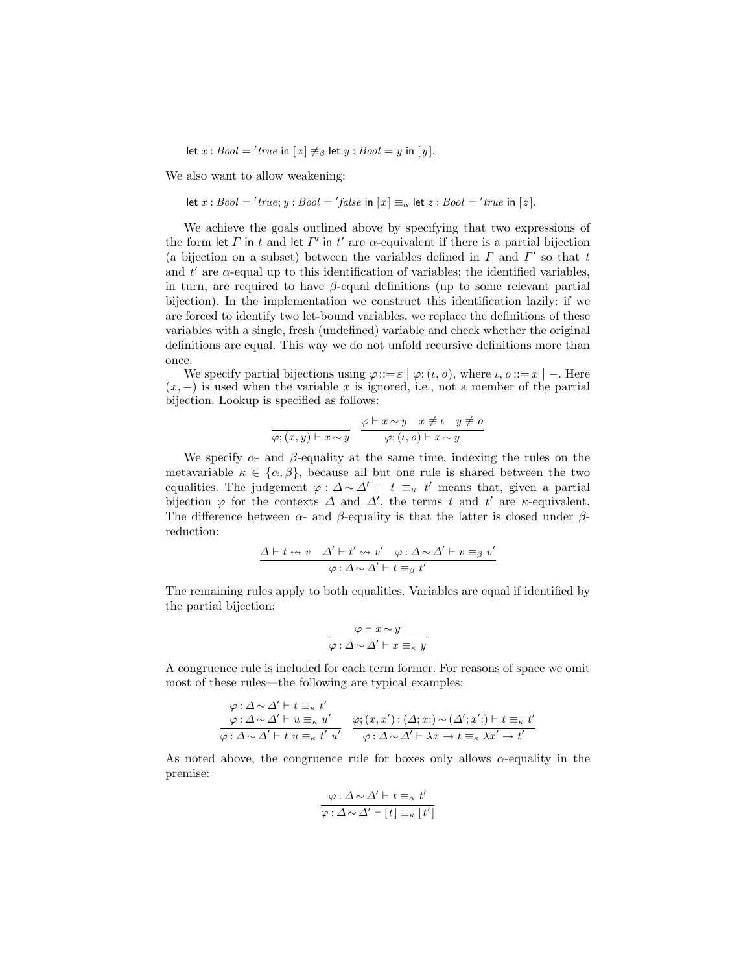let  $x : Bool = 'true$  in  $[x] \not\equiv_\beta$  let  $y : Bool = y$  in  $[y]$ .

We also want to allow weakening:

let 
$$
x : Bool = 'true; y : Bool = 'false
$$
 in  $[x] \equiv_{\alpha} \text{let } z : Bool = 'true$  in  $[z]$ .

We achieve the goals outlined above by specifying that two expressions of the form let  $\Gamma$  in t and let  $\Gamma'$  in t' are  $\alpha$ -equivalent if there is a partial bijection (a bijection on a subset) between the variables defined in  $\Gamma$  and  $\Gamma'$  so that t and  $t'$  are  $\alpha$ -equal up to this identification of variables; the identified variables, in turn, are required to have  $\beta$ -equal definitions (up to some relevant partial bijection). In the implementation we construct this identification lazily: if we are forced to identify two let-bound variables, we replace the definitions of these variables with a single, fresh (undefined) variable and check whether the original definitions are equal. This way we do not unfold recursive definitions more than once.

We specify partial bijections using  $\varphi ::= \varepsilon \mid \varphi; (\iota, o)$ , where  $\iota, o ::= x \mid -$ . Here  $(x, -)$  is used when the variable x is ignored, i.e., not a member of the partial bijection. Lookup is specified as follows:

$$
\frac{\varphi \vdash x \sim y \quad x \not\equiv \iota \quad y \not\equiv o}{\varphi; (\iota, o) \vdash x \sim y}
$$

We specify  $\alpha$ - and  $\beta$ -equality at the same time, indexing the rules on the metavariable  $\kappa \in {\alpha, \beta}$ , because all but one rule is shared between the two equalities. The judgement  $\varphi : \Delta \sim \Delta' \vdash t \equiv_{\kappa} t'$  means that, given a partial bijection  $\varphi$  for the contexts  $\Delta$  and  $\Delta'$ , the terms t and t' are  $\kappa$ -equivalent. The difference between  $\alpha$ - and  $\beta$ -equality is that the latter is closed under  $\beta$ reduction:

$$
\frac{\Delta\vdash t\rightsquigarrow v \quad \Delta'\vdash t'\rightsquigarrow v' \quad \varphi:\Delta\sim\Delta'\vdash v\equiv_{\beta}v'}{\varphi:\Delta\sim\Delta'\vdash t\equiv_{\beta}t'}
$$

The remaining rules apply to both equalities. Variables are equal if identified by the partial bijection:

$$
\frac{\varphi \vdash x \sim y}{\varphi : \Delta \sim \Delta' \vdash x \equiv_{\kappa} y}
$$

A congruence rule is included for each term former. For reasons of space we omit most of these rules—the following are typical examples:

$$
\varphi: \Delta \sim \Delta' \vdash t \equiv_{\kappa} t' \n\varphi: \Delta \sim \Delta' \vdash u \equiv_{\kappa} u' \n\varphi: \Delta \sim \Delta' \vdash t u \equiv_{\kappa} t' u' \n\varphi: \Delta \sim \Delta' \vdash \lambda u \Rightarrow t' \Rightarrow \Delta \sim \Delta' \vdash \lambda x \Rightarrow t \equiv_{\kappa} \lambda x' \Rightarrow t'
$$

As noted above, the congruence rule for boxes only allows  $\alpha$ -equality in the premise:

$$
\frac{\varphi : \Delta \sim \Delta' \vdash t \equiv_{\alpha} t'}{\varphi : \Delta \sim \Delta' \vdash [t] \equiv_{\kappa} [t']}
$$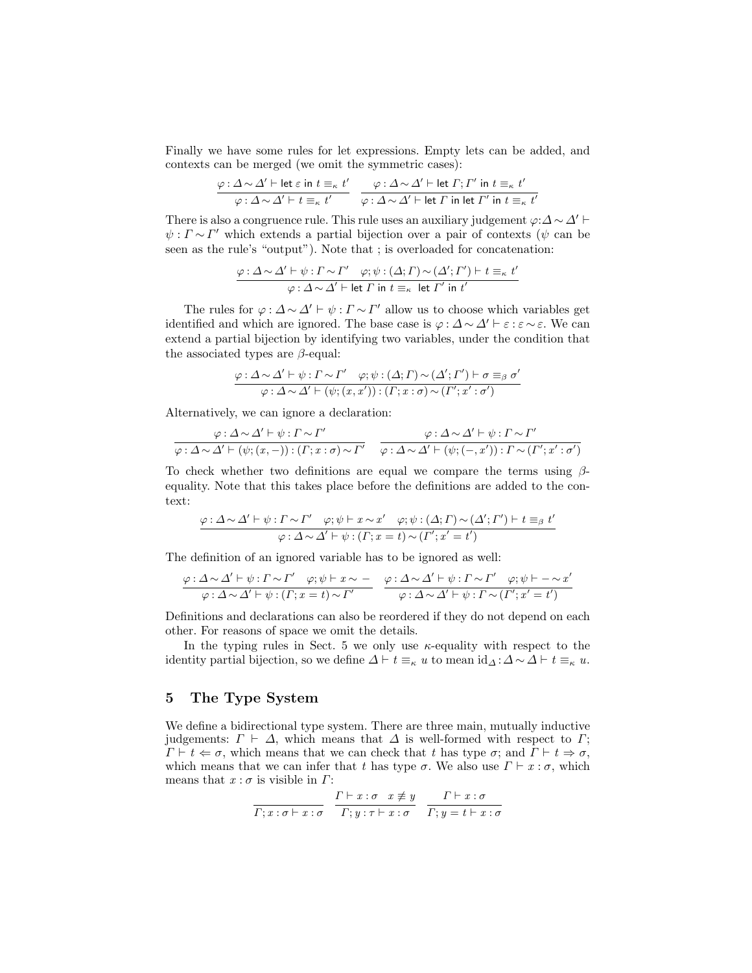Finally we have some rules for let expressions. Empty lets can be added, and contexts can be merged (we omit the symmetric cases):

$$
\frac{\varphi : \Delta \sim \Delta' \vdash \mathsf{let} \varepsilon \mathsf{ in } t \equiv_{\kappa} t'}{\varphi : \Delta \sim \Delta' \vdash t \equiv_{\kappa} t'} \quad \frac{\varphi : \Delta \sim \Delta' \vdash \mathsf{let} \mathsf{\Gamma}; \mathsf{\Gamma}' \mathsf{ in } t \equiv_{\kappa} t'}{\varphi : \Delta \sim \Delta' \vdash \mathsf{let} \mathsf{\Gamma} \mathsf{ in } \mathsf{let} \mathsf{\Gamma}' \mathsf{ in } t \equiv_{\kappa} t'}
$$

There is also a congruence rule. This rule uses an auxiliary judgement  $\varphi:\Delta \sim \Delta' \vdash$  $\psi : \Gamma \sim \Gamma'$  which extends a partial bijection over a pair of contexts ( $\psi$  can be seen as the rule's "output"). Note that ; is overloaded for concatenation:

$$
\frac{\varphi : \Delta \sim \Delta' \vdash \psi : \Gamma \sim \Gamma' \quad \varphi ; \psi : (\Delta; \Gamma) \sim (\Delta' ; \Gamma') \vdash t \equiv_{\kappa} t'}{\varphi : \Delta \sim \Delta' \vdash \mathsf{let} \ \Gamma \ \mathsf{in} \ t \equiv_{\kappa} \ \mathsf{let} \ \Gamma' \ \mathsf{in} \ t'}
$$

The rules for  $\varphi : \Delta \sim \Delta' \vdash \psi : \Gamma \sim \Gamma'$  allow us to choose which variables get identified and which are ignored. The base case is  $\varphi : \Delta \sim \Delta' \vdash \varepsilon : \varepsilon \sim \varepsilon$ . We can extend a partial bijection by identifying two variables, under the condition that the associated types are  $\beta$ -equal:

$$
\frac{\varphi : \Delta \sim \Delta' \vdash \psi : \Gamma \sim \Gamma' \quad \varphi; \psi : (\Delta; \Gamma) \sim (\Delta'; \Gamma') \vdash \sigma \equiv_{\beta} \sigma'}{\varphi : \Delta \sim \Delta' \vdash (\psi; (x, x')) : (\Gamma; x : \sigma) \sim (\Gamma'; x' : \sigma')}
$$

Alternatively, we can ignore a declaration:

$$
\frac{\varphi:\varDelta\sim\varDelta'\vdash\psi:\varGamma\sim\varGamma'}{\varphi:\varDelta\sim\varDelta'\vdash(\psi;(x,-)):(\varGamma;x:\sigma)\sim\varGamma'}\quad\frac{\varphi:\varDelta\sim\varDelta'\vdash\psi:\varGamma\sim\varGamma'}{\varphi:\varDelta\sim\varDelta'\vdash(\psi;(-,x')):\varGamma\sim(\varGamma';x':\sigma')}
$$

To check whether two definitions are equal we compare the terms using  $\beta$ equality. Note that this takes place before the definitions are added to the context:

$$
\frac{\varphi : \Delta \sim \Delta' \vdash \psi : \Gamma \sim \Gamma' \quad \varphi; \psi \vdash x \sim x' \quad \varphi; \psi : (\Delta; \Gamma) \sim (\Delta'; \Gamma') \vdash t \equiv_{\beta} t'}{\varphi : \Delta \sim \Delta' \vdash \psi : (\Gamma; x = t) \sim (\Gamma'; x' = t')}
$$

The definition of an ignored variable has to be ignored as well:

$$
\frac{\varphi : \Delta \sim \Delta' \vdash \psi : \Gamma \sim \Gamma' \quad \varphi; \psi \vdash x \sim -}{\varphi : \Delta \sim \Delta' \vdash \psi : (\Gamma; x = t) \sim \Gamma'} \quad \frac{\varphi : \Delta \sim \Delta' \vdash \psi : \Gamma \sim \Gamma' \quad \varphi; \psi \vdash -\sim x'}{\varphi : \Delta \sim \Delta' \vdash \psi : \Gamma \sim (\Gamma'; x' = t')}
$$

Definitions and declarations can also be reordered if they do not depend on each other. For reasons of space we omit the details.

In the typing rules in Sect. 5 we only use  $\kappa$ -equality with respect to the identity partial bijection, so we define  $\Delta \vdash t \equiv_{\kappa} u$  to mean id $\Delta : \Delta \sim \Delta \vdash t \equiv_{\kappa} u$ .

### 5 The Type System

We define a bidirectional type system. There are three main, mutually inductive judgements:  $\Gamma \vdash \Delta$ , which means that  $\Delta$  is well-formed with respect to  $\Gamma$ ;  $\Gamma \vdash t \Leftarrow \sigma$ , which means that we can check that t has type  $\sigma$ ; and  $\Gamma \vdash t \Rightarrow \sigma$ , which means that we can infer that t has type  $\sigma$ . We also use  $\Gamma \vdash x : \sigma$ , which means that  $x : \sigma$  is visible in  $\Gamma$ :

$$
\frac{\Gamma \vdash x : \sigma \quad x \not\equiv y}{\Gamma; x : \sigma \vdash x : \sigma} \quad \frac{\Gamma \vdash x : \sigma \quad x \not\equiv y}{\Gamma; y : \tau \vdash x : \sigma} \quad \frac{\Gamma \vdash x : \sigma}{\Gamma; y = t \vdash x : \sigma}
$$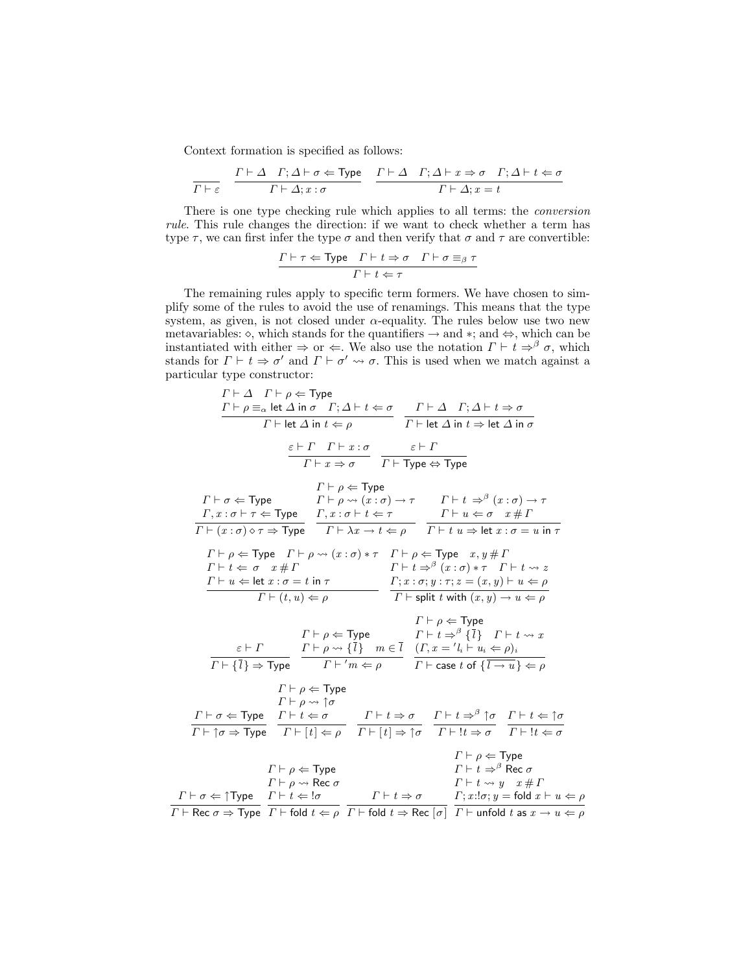Context formation is specified as follows:

$$
\cfrac{\Gamma\vdash\varDelta\quad \Gamma; \varDelta\vdash\sigma \Leftarrow\text{Type}}{\Gamma\vdash\varDelta; x:\sigma}\quad\cfrac{\Gamma\vdash\varDelta\quad \Gamma; \varDelta\vdash x \Rightarrow\sigma\quad \Gamma; \varDelta\vdash t \Leftarrow\sigma}{\Gamma\vdash\varDelta; x=t}
$$

There is one type checking rule which applies to all terms: the conversion rule. This rule changes the direction: if we want to check whether a term has type  $\tau$ , we can first infer the type  $\sigma$  and then verify that  $\sigma$  and  $\tau$  are convertible:

$$
\cfrac{\Gamma\vdash\tau\Leftarrow\text{Type}\quad\Gamma\vdash t\Rightarrow\sigma\quad\Gamma\vdash\sigma\equiv_\beta\tau}{\Gamma\vdash t\Leftarrow\tau}
$$

The remaining rules apply to specific term formers. We have chosen to simplify some of the rules to avoid the use of renamings. This means that the type system, as given, is not closed under  $\alpha$ -equality. The rules below use two new metavariables:  $\diamond$ , which stands for the quantifiers  $\rightarrow$  and  $*$ ; and  $\Leftrightarrow$ , which can be instantiated with either  $\Rightarrow$  or  $\Leftarrow$ . We also use the notation  $\Gamma \vdash t \Rightarrow^{\beta} \sigma$ , which stands for  $\Gamma \vdash t \Rightarrow \sigma'$  and  $\Gamma \vdash \sigma' \leadsto \sigma$ . This is used when we match against a particular type constructor:

Γ ` ∆ Γ ` ρ ⇐ Type Γ ` ρ ≡<sup>α</sup> let ∆ in σ Γ; ∆ ` t ⇐ σ Γ ` let ∆ in t ⇐ ρ Γ ` ∆ Γ; ∆ ` t ⇒ σ Γ ` let ∆ in t ⇒ let ∆ in σ ε ` Γ Γ ` x : σ Γ ` x ⇒ σ ε ` Γ Γ ` Type ⇔ Type Γ ` σ ⇐ Type Γ , x : σ ` τ ⇐ Type Γ ` (x : σ) τ ⇒ Type Γ ` ρ ⇐ Type Γ ` ρ (x : σ) → τ Γ , x : σ ` t ⇐ τ Γ ` λx → t ⇐ ρ Γ ` t ⇒<sup>β</sup> (x : σ) → τ Γ ` u ⇐ σ x # Γ Γ ` t u ⇒ let x : σ = u in τ Γ ` ρ ⇐ Type Γ ` ρ (x : σ) ∗ τ Γ ` t ⇐ σ x # Γ Γ ` u ⇐ let x : σ = t in τ Γ ` (t, u) ⇐ ρ Γ ` ρ ⇐ Type x , y # Γ Γ ` t ⇒<sup>β</sup> (x : σ) ∗ τ Γ ` t z Γ; x : σ; y : τ ; z = (x , y) ` u ⇐ ρ Γ ` split t with (x , y) → u ⇐ ρ ε ` Γ Γ ` {l } ⇒ Type Γ ` ρ ⇐ Type Γ ` ρ {l } m ∈ l Γ ` <sup>0</sup>m ⇐ ρ Γ ` ρ ⇐ Type Γ ` t ⇒<sup>β</sup> {l } Γ ` t x (Γ, x = 0 l<sup>i</sup> ` u<sup>i</sup> ⇐ ρ)<sup>i</sup> Γ ` case t of {l → u } ⇐ ρ Γ ` σ ⇐ Type Γ ` ↑σ ⇒ Type Γ ` ρ ⇐ Type Γ ` ρ ↑σ Γ ` t ⇐ σ Γ ` [t ] ⇐ ρ Γ ` t ⇒ σ Γ ` [t ] ⇒ ↑σ Γ ` t ⇒<sup>β</sup> ↑σ Γ ` !t ⇒ σ Γ ` t ⇐ ↑σ Γ ` !t ⇐ σ Γ ` σ ⇐ ↑Type Γ ` Rec σ ⇒ Type Γ ` ρ ⇐ Type Γ ` ρ Rec σ Γ ` t ⇐ !σ Γ ` fold t ⇐ ρ Γ ` t ⇒ σ Γ ` fold t ⇒ Rec [σ] Γ ` ρ ⇐ Type Γ ` t ⇒<sup>β</sup> Rec σ Γ ` t y x # Γ Γ; x :!σ; y = fold x ` u ⇐ ρ Γ ` unfold t as x → u ⇐ ρ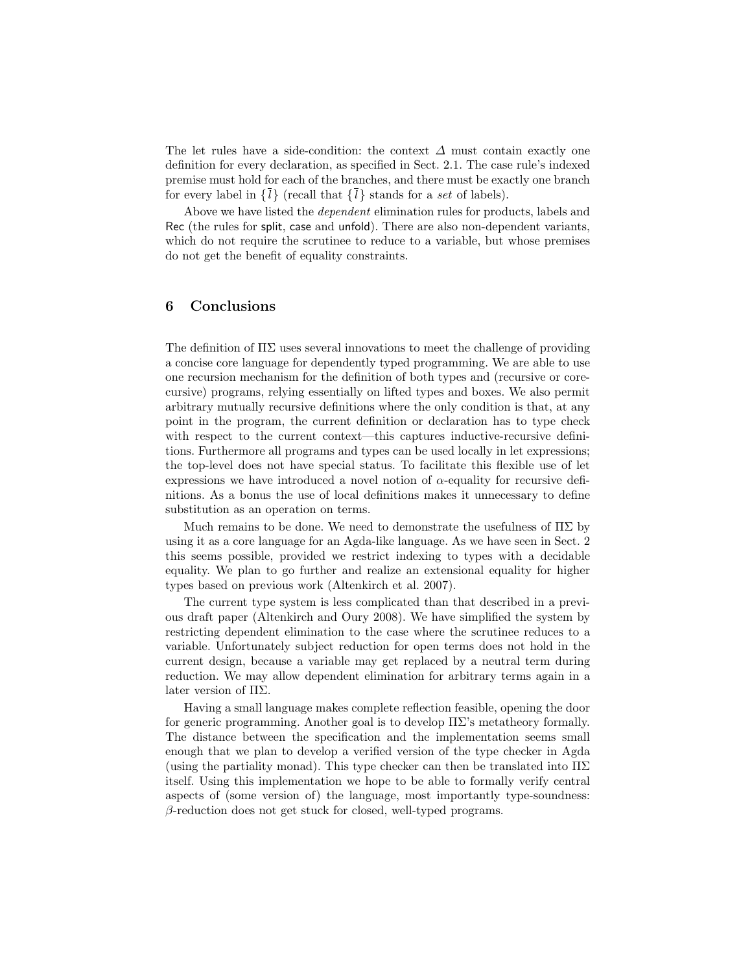The let rules have a side-condition: the context  $\Delta$  must contain exactly one definition for every declaration, as specified in Sect. 2.1. The case rule's indexed premise must hold for each of the branches, and there must be exactly one branch for every label in  $\{\bar{l}\}$  (recall that  $\{\bar{l}\}$  stands for a set of labels).

Above we have listed the dependent elimination rules for products, labels and Rec (the rules for split, case and unfold). There are also non-dependent variants, which do not require the scrutinee to reduce to a variable, but whose premises do not get the benefit of equality constraints.

### 6 Conclusions

The definition of  $\Pi\Sigma$  uses several innovations to meet the challenge of providing a concise core language for dependently typed programming. We are able to use one recursion mechanism for the definition of both types and (recursive or corecursive) programs, relying essentially on lifted types and boxes. We also permit arbitrary mutually recursive definitions where the only condition is that, at any point in the program, the current definition or declaration has to type check with respect to the current context—this captures inductive-recursive definitions. Furthermore all programs and types can be used locally in let expressions; the top-level does not have special status. To facilitate this flexible use of let expressions we have introduced a novel notion of  $\alpha$ -equality for recursive definitions. As a bonus the use of local definitions makes it unnecessary to define substitution as an operation on terms.

Much remains to be done. We need to demonstrate the usefulness of  $\Pi\Sigma$  by using it as a core language for an Agda-like language. As we have seen in Sect. 2 this seems possible, provided we restrict indexing to types with a decidable equality. We plan to go further and realize an extensional equality for higher types based on previous work (Altenkirch et al. 2007).

The current type system is less complicated than that described in a previous draft paper (Altenkirch and Oury 2008). We have simplified the system by restricting dependent elimination to the case where the scrutinee reduces to a variable. Unfortunately subject reduction for open terms does not hold in the current design, because a variable may get replaced by a neutral term during reduction. We may allow dependent elimination for arbitrary terms again in a later version of ΠΣ.

Having a small language makes complete reflection feasible, opening the door for generic programming. Another goal is to develop  $\Pi\Sigma$ 's metatheory formally. The distance between the specification and the implementation seems small enough that we plan to develop a verified version of the type checker in Agda (using the partiality monad). This type checker can then be translated into  $\Pi\Sigma$ itself. Using this implementation we hope to be able to formally verify central aspects of (some version of) the language, most importantly type-soundness:  $\beta$ -reduction does not get stuck for closed, well-typed programs.